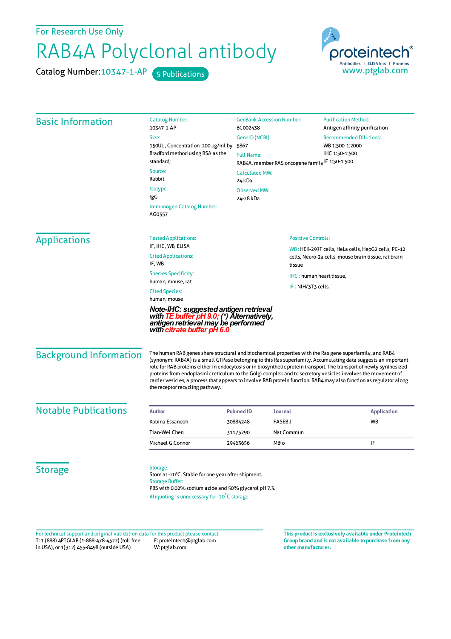For Research Use Only

## RAB4A Polyclonal antibody

Catalog Number: 10347-1-AP 5 Publications



| <b>Basic Information</b>      | <b>Catalog Number:</b>                                                                                                                                                                                                                                                                                                                                                                                                                                                                                                                                                                                                    | <b>GenBank Accession Number:</b>                               |                | <b>Purification Method:</b>                        |  |
|-------------------------------|---------------------------------------------------------------------------------------------------------------------------------------------------------------------------------------------------------------------------------------------------------------------------------------------------------------------------------------------------------------------------------------------------------------------------------------------------------------------------------------------------------------------------------------------------------------------------------------------------------------------------|----------------------------------------------------------------|----------------|----------------------------------------------------|--|
|                               | 10347-1-AP                                                                                                                                                                                                                                                                                                                                                                                                                                                                                                                                                                                                                | BC002438                                                       |                | Antigen affinity purification                      |  |
|                               | Size:                                                                                                                                                                                                                                                                                                                                                                                                                                                                                                                                                                                                                     | GeneID (NCBI):<br>5867                                         |                | <b>Recommended Dilutions:</b><br>WB 1:500-1:2000   |  |
|                               | 150UL, Concentration: 200 µg/ml by<br>Bradford method using BSA as the<br>standard;                                                                                                                                                                                                                                                                                                                                                                                                                                                                                                                                       |                                                                |                |                                                    |  |
|                               |                                                                                                                                                                                                                                                                                                                                                                                                                                                                                                                                                                                                                           | <b>Full Name:</b>                                              | IHC 1:50-1:500 |                                                    |  |
|                               | Source:                                                                                                                                                                                                                                                                                                                                                                                                                                                                                                                                                                                                                   | RAB4A, member RAS oncogene family <sup>IF</sup> 1:50-1:500     |                |                                                    |  |
|                               | Rabbit                                                                                                                                                                                                                                                                                                                                                                                                                                                                                                                                                                                                                    | <b>Calculated MW:</b><br>24 kDa                                |                |                                                    |  |
|                               | Isotype:                                                                                                                                                                                                                                                                                                                                                                                                                                                                                                                                                                                                                  | <b>Observed MW:</b>                                            |                |                                                    |  |
|                               | IgG                                                                                                                                                                                                                                                                                                                                                                                                                                                                                                                                                                                                                       | 24-28 kDa                                                      |                |                                                    |  |
|                               | Immunogen Catalog Number:<br>AG0357                                                                                                                                                                                                                                                                                                                                                                                                                                                                                                                                                                                       |                                                                |                |                                                    |  |
| <b>Applications</b>           | <b>Tested Applications:</b>                                                                                                                                                                                                                                                                                                                                                                                                                                                                                                                                                                                               | <b>Positive Controls:</b>                                      |                |                                                    |  |
|                               | IF, IHC, WB, ELISA                                                                                                                                                                                                                                                                                                                                                                                                                                                                                                                                                                                                        |                                                                |                | WB: HEK-293T cells, HeLa cells, HepG2 cells, PC-12 |  |
|                               | <b>Cited Applications:</b><br>IF, WB                                                                                                                                                                                                                                                                                                                                                                                                                                                                                                                                                                                      | cells, Neuro-2a cells, mouse brain tissue, rat brain<br>tissue |                |                                                    |  |
|                               | <b>Species Specificity:</b>                                                                                                                                                                                                                                                                                                                                                                                                                                                                                                                                                                                               | <b>IHC:</b> human heart tissue,<br>IF: NIH/3T3 cells,          |                |                                                    |  |
|                               | human, mouse, rat                                                                                                                                                                                                                                                                                                                                                                                                                                                                                                                                                                                                         |                                                                |                |                                                    |  |
|                               | <b>Cited Species:</b><br>human, mouse                                                                                                                                                                                                                                                                                                                                                                                                                                                                                                                                                                                     |                                                                |                |                                                    |  |
|                               | Note-IHC: suggested antigen retrieval<br>with <b>TE buffer pH 9.0;</b> (*) Alternatively,<br>antigen retrieval may be performed<br>with citrate buffer pH 6.0                                                                                                                                                                                                                                                                                                                                                                                                                                                             |                                                                |                |                                                    |  |
| <b>Background Information</b> | The human RAB genes share structural and biochemical properties with the Ras gene superfamily, and RAB4<br>(synonym: RAB4A) is a small GTPase belonging to this Ras superfamily. Accumulating data suggests an important<br>role for RAB proteins either in endocytosis or in biosynthetic protein transport. The transport of newly synthesized<br>proteins from endoplasmic reticulum to the Golgi complex and to secretory vesicles involves the movement of<br>carrier vesicles, a process that appears to involve RAB protein function. RAB4 may also function as regulator along<br>the receptor recycling pathway. |                                                                |                |                                                    |  |
| <b>Notable Publications</b>   | Author                                                                                                                                                                                                                                                                                                                                                                                                                                                                                                                                                                                                                    | <b>Pubmed ID</b><br><b>Journal</b>                             |                | <b>Application</b>                                 |  |
|                               | Kobina Essandoh                                                                                                                                                                                                                                                                                                                                                                                                                                                                                                                                                                                                           | <b>FASEBJ</b><br>30884248                                      |                | WB                                                 |  |
|                               | Tian-Wei Chen                                                                                                                                                                                                                                                                                                                                                                                                                                                                                                                                                                                                             | 31175290                                                       | Nat Commun     |                                                    |  |
|                               | Michael G Connor                                                                                                                                                                                                                                                                                                                                                                                                                                                                                                                                                                                                          | MBio<br>29463656                                               |                | IF                                                 |  |
| <b>Storage</b>                | Storage:<br>Store at -20°C. Stable for one year after shipment.<br><b>Storage Buffer:</b>                                                                                                                                                                                                                                                                                                                                                                                                                                                                                                                                 |                                                                |                |                                                    |  |

PBS with 0.02% sodium azide and 50% glycerol pH 7.3. Aliquoting is unnecessary for -20<sup>°</sup>C storage

T: 1 (888) 4PTGLAB (1-888-478-4522) (toll free in USA), or 1(312) 455-8498 (outside USA) E: proteintech@ptglab.com W: ptglab.com Fortechnical support and original validation data forthis product please contact: **This productis exclusively available under Proteintech**

**Group brand and is not available to purchase from any other manufacturer.**